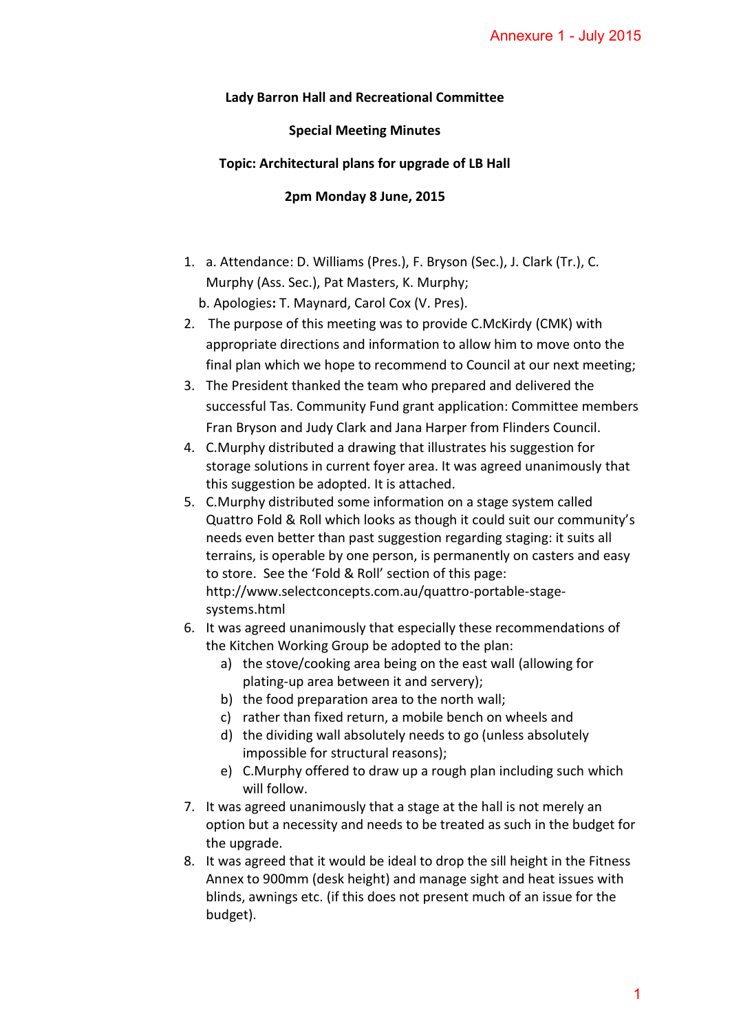## **Lady Barron Hall and Recreational Committee**

## **Special Meeting Minutes**

## **Topic: Architectural plans for upgrade of LB Hall**

## **2pm Monday 8 June, 2015**

- 1. a. Attendance: D. Williams (Pres.), F. Bryson (Sec.), J. Clark (Tr.), C. Murphy (Ass. Sec.), Pat Masters, K. Murphy; b. Apologies**:** T. Maynard, Carol Cox (V. Pres).
- 2. The purpose of this meeting was to provide C.McKirdy (CMK) with appropriate directions and information to allow him to move onto the final plan which we hope to recommend to Council at our next meeting;
- 3. The President thanked the team who prepared and delivered the successful Tas. Community Fund grant application: Committee members Fran Bryson and Judy Clark and Jana Harper from Flinders Council.
- 4. C.Murphy distributed a drawing that illustrates his suggestion for storage solutions in current foyer area. It was agreed unanimously that this suggestion be adopted. It is attached.
- 5. C.Murphy distributed some information on a stage system called Quattro Fold & Roll which looks as though it could suit our community's needs even better than past suggestion regarding staging: it suits all terrains, is operable by one person, is permanently on casters and easy to store. See the 'Fold & Roll' section of this page: http://www.selectconcepts.com.au/quattro-portable-stagesystems.html Annexure 1 - July 2015<br>
ee<br>
ee<br>
ee<br>
Hall<br>
dial<br>
c.), J. Clark (Tr.), C.<br> *Ackirdy (CMK) with*<br>
him to move onto the<br>
ncil at our next meeting;<br>
and delivered the<br>
on: Committee members<br>
m Flinders Council.<br>
his suggestion
- 6. It was agreed unanimously that especially these recommendations of the Kitchen Working Group be adopted to the plan:
	- a) the stove/cooking area being on the east wall (allowing for plating-up area between it and servery);
	- b) the food preparation area to the north wall;
	- c) rather than fixed return, a mobile bench on wheels and
	- d) the dividing wall absolutely needs to go (unless absolutely impossible for structural reasons);
	- e) C.Murphy offered to draw up a rough plan including such which will follow.
- 7. It was agreed unanimously that a stage at the hall is not merely an option but a necessity and needs to be treated as such in the budget for the upgrade.
- 8. It was agreed that it would be ideal to drop the sill height in the Fitness Annex to 900mm (desk height) and manage sight and heat issues with blinds, awnings etc. (if this does not present much of an issue for the budget).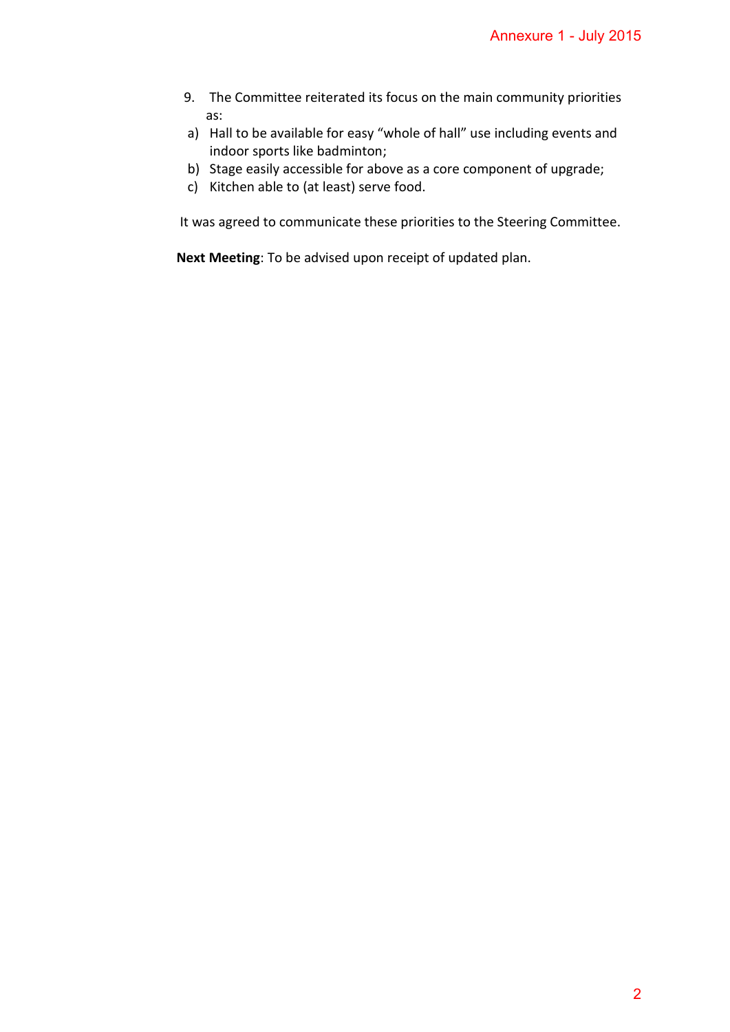- 9. The Committee reiterated its focus on the main community priorities as: Annexure 1 - July 2015<br>
1 community priorities<br>
including events and<br>
ponent of upgrade;<br>
2 Steering Committee.<br>
d plan.
- a) Hall to be available for easy "whole of hall" use including events and indoor sports like badminton;
- b) Stage easily accessible for above as a core component of upgrade;
- c) Kitchen able to (at least) serve food.

It was agreed to communicate these priorities to the Steering Committee.

**Next Meeting**: To be advised upon receipt of updated plan.